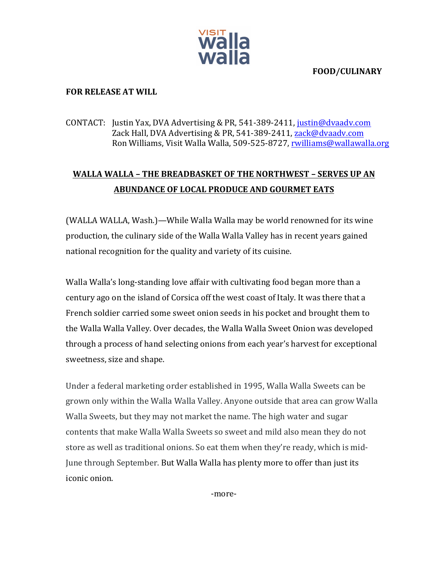

## **FOOD/CULINARY**

## **FOR RELEASE AT WILL**

## CONTACT: Justin Yax, DVA Advertising & PR, 541-389-2411, justin@dvaadv.com Zack Hall, DVA Advertising & PR, 541-389-2411, zack@dvaadv.com Ron Williams, Visit Walla Walla, 509-525-8727, rwilliams@wallawalla.org

# **WALLA WALLA - THE BREADBASKET OF THE NORTHWEST - SERVES UP AN ABUNDANCE OF LOCAL PRODUCE AND GOURMET EATS**

(WALLA WALLA, Wash.)—While Walla Walla may be world renowned for its wine production, the culinary side of the Walla Walla Valley has in recent years gained national recognition for the quality and variety of its cuisine.

Walla Walla's long-standing love affair with cultivating food began more than a century ago on the island of Corsica off the west coast of Italy. It was there that a French soldier carried some sweet onion seeds in his pocket and brought them to the Walla Walla Valley. Over decades, the Walla Walla Sweet Onion was developed through a process of hand selecting onions from each year's harvest for exceptional sweetness, size and shape.

Under a federal marketing order established in 1995, Walla Walla Sweets can be grown only within the Walla Walla Valley. Anyone outside that area can grow Walla Walla Sweets, but they may not market the name. The high water and sugar contents that make Walla Walla Sweets so sweet and mild also mean they do not store as well as traditional onions. So eat them when they're ready, which is mid-June through September. But Walla Walla has plenty more to offer than just its iconic onion. 

-more-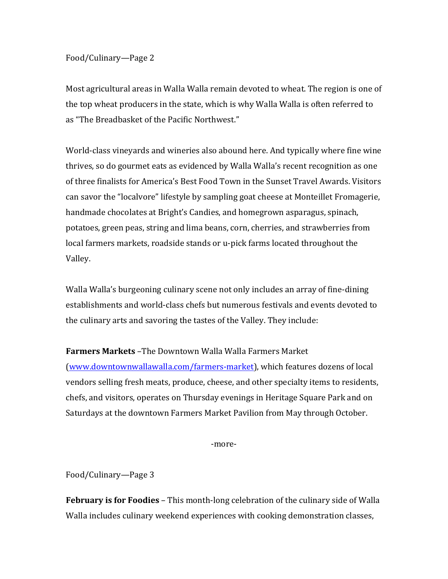#### Food/Culinary—Page 2

Most agricultural areas in Walla Walla remain devoted to wheat. The region is one of the top wheat producers in the state, which is why Walla Walla is often referred to as "The Breadbasket of the Pacific Northwest."

World-class vineyards and wineries also abound here. And typically where fine wine thrives, so do gourmet eats as evidenced by Walla Walla's recent recognition as one of three finalists for America's Best Food Town in the Sunset Travel Awards. Visitors can savor the "localvore" lifestyle by sampling goat cheese at Monteillet Fromagerie, handmade chocolates at Bright's Candies, and homegrown asparagus, spinach, potatoes, green peas, string and lima beans, corn, cherries, and strawberries from local farmers markets, roadside stands or u-pick farms located throughout the Valley. 

Walla Walla's burgeoning culinary scene not only includes an array of fine-dining establishments and world-class chefs but numerous festivals and events devoted to the culinary arts and savoring the tastes of the Valley. They include:

## **Farmers Markets** –The Downtown Walla Walla Farmers Market

(www.downtownwallawalla.com/farmers-market), which features dozens of local vendors selling fresh meats, produce, cheese, and other specialty items to residents, chefs, and visitors, operates on Thursday evenings in Heritage Square Park and on Saturdays at the downtown Farmers Market Pavilion from May through October.

-more-

Food/Culinary—Page 3

**February is for Foodies** – This month-long celebration of the culinary side of Walla Walla includes culinary weekend experiences with cooking demonstration classes,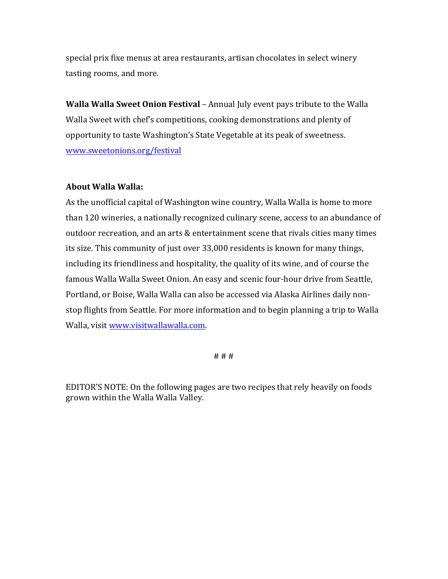special prix fixe menus at area restaurants, artisan chocolates in select winery tasting rooms, and more.

**Walla Walla Sweet Onion Festival** – Annual July event pays tribute to the Walla Walla Sweet with chef's competitions, cooking demonstrations and plenty of opportunity to taste Washington's State Vegetable at its peak of sweetness. www.sweetonions.org/festival

## **About Walla Walla:**

As the unofficial capital of Washington wine country, Walla Walla is home to more than 120 wineries, a nationally recognized culinary scene, access to an abundance of outdoor recreation, and an arts & entertainment scene that rivals cities many times its size. This community of just over 33,000 residents is known for many things, including its friendliness and hospitality, the quality of its wine, and of course the famous Walla Walla Sweet Onion. An easy and scenic four-hour drive from Seattle, Portland, or Boise, Walla Walla can also be accessed via Alaska Airlines daily nonstop flights from Seattle. For more information and to begin planning a trip to Walla Walla, visit www.visitwallawalla.com.

# # #

EDITOR'S NOTE: On the following pages are two recipes that rely heavily on foods grown within the Walla Walla Valley.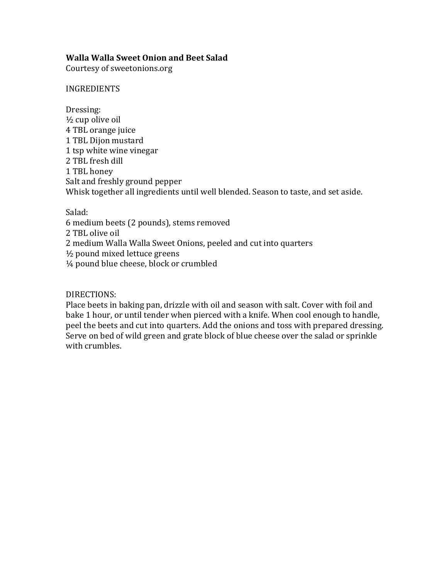## **Walla Walla Sweet Onion and Beet Salad**

Courtesy of sweetonions.org

INGREDIENTS

Dressing:  $\frac{1}{2}$  cup olive oil 4 TBL orange juice 1 TBL Dijon mustard 1 tsp white wine vinegar 2 TBL fresh dill 1 TBL honey Salt and freshly ground pepper Whisk together all ingredients until well blended. Season to taste, and set aside.

Salad: 

6 medium beets (2 pounds), stems removed

2 TBL olive oil

2 medium Walla Walla Sweet Onions, peeled and cut into quarters

 $\frac{1}{2}$  pound mixed lettuce greens

1/4 pound blue cheese, block or crumbled

## DIRECTIONS:

Place beets in baking pan, drizzle with oil and season with salt. Cover with foil and bake 1 hour, or until tender when pierced with a knife. When cool enough to handle, peel the beets and cut into quarters. Add the onions and toss with prepared dressing. Serve on bed of wild green and grate block of blue cheese over the salad or sprinkle with crumbles.